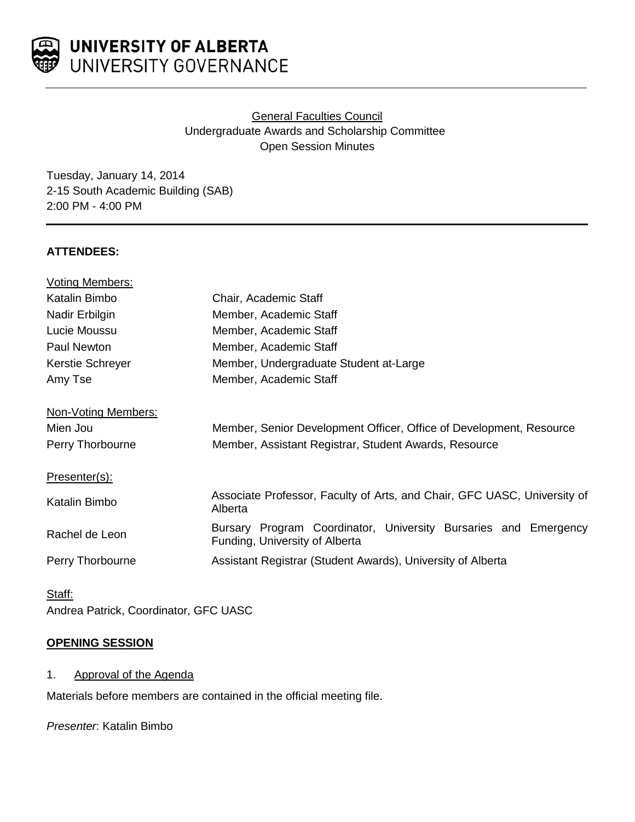

# General Faculties Council Undergraduate Awards and Scholarship Committee Open Session Minutes

Tuesday, January 14, 2014 2-15 South Academic Building (SAB) 2:00 PM - 4:00 PM

### **ATTENDEES:**

| <b>Voting Members:</b> |                                                                                                   |
|------------------------|---------------------------------------------------------------------------------------------------|
| Katalin Bimbo          | Chair, Academic Staff                                                                             |
| Nadir Erbilgin         | Member, Academic Staff                                                                            |
| Lucie Moussu           | Member, Academic Staff                                                                            |
| <b>Paul Newton</b>     | Member, Academic Staff                                                                            |
| Kerstie Schreyer       | Member, Undergraduate Student at-Large                                                            |
| Amy Tse                | Member, Academic Staff                                                                            |
| Non-Voting Members:    |                                                                                                   |
| Mien Jou               | Member, Senior Development Officer, Office of Development, Resource                               |
| Perry Thorbourne       | Member, Assistant Registrar, Student Awards, Resource                                             |
| Presenter(s):          |                                                                                                   |
| Katalin Bimbo          | Associate Professor, Faculty of Arts, and Chair, GFC UASC, University of<br>Alberta               |
| Rachel de Leon         | Bursary Program Coordinator, University Bursaries and Emergency<br>Funding, University of Alberta |
| Perry Thorbourne       | Assistant Registrar (Student Awards), University of Alberta                                       |

Staff: Andrea Patrick, Coordinator, GFC UASC

### **OPENING SESSION**

1. Approval of the Agenda

Materials before members are contained in the official meeting file.

*Presenter*: Katalin Bimbo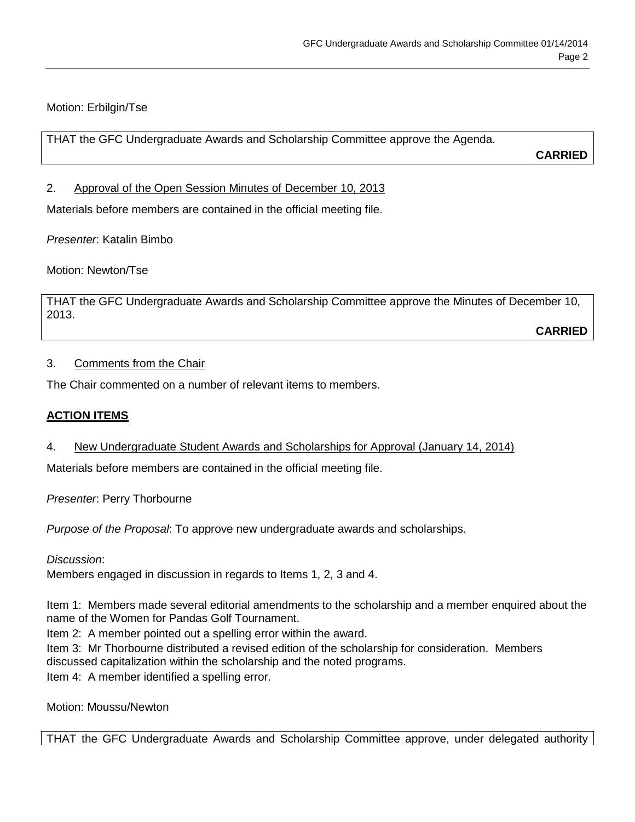# Motion: Erbilgin/Tse

THAT the GFC Undergraduate Awards and Scholarship Committee approve the Agenda.

**CARRIED**

2. Approval of the Open Session Minutes of December 10, 2013

Materials before members are contained in the official meeting file.

*Presenter*: Katalin Bimbo

Motion: Newton/Tse

THAT the GFC Undergraduate Awards and Scholarship Committee approve the Minutes of December 10, 2013.

**CARRIED**

### 3. Comments from the Chair

The Chair commented on a number of relevant items to members.

# **ACTION ITEMS**

### 4. New Undergraduate Student Awards and Scholarships for Approval (January 14, 2014)

Materials before members are contained in the official meeting file.

*Presenter*: Perry Thorbourne

*Purpose of the Proposal*: To approve new undergraduate awards and scholarships.

*Discussion*:

Members engaged in discussion in regards to Items 1, 2, 3 and 4.

Item 1: Members made several editorial amendments to the scholarship and a member enquired about the name of the Women for Pandas Golf Tournament.

Item 2: A member pointed out a spelling error within the award.

Item 3: Mr Thorbourne distributed a revised edition of the scholarship for consideration. Members discussed capitalization within the scholarship and the noted programs.

Item 4: A member identified a spelling error.

Motion: Moussu/Newton

THAT the GFC Undergraduate Awards and Scholarship Committee approve, under delegated authority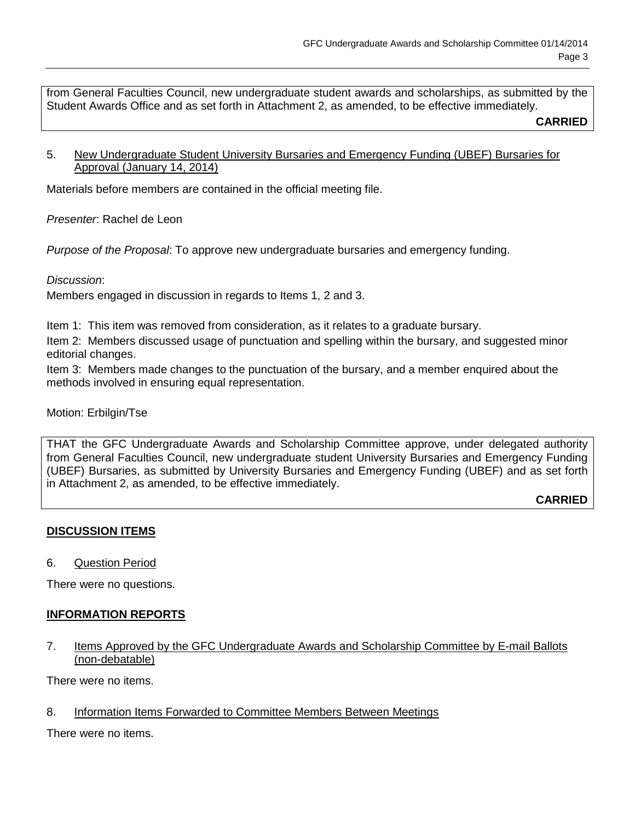from General Faculties Council, new undergraduate student awards and scholarships, as submitted by the Student Awards Office and as set forth in Attachment 2, as amended, to be effective immediately.

**CARRIED**

### 5. New Undergraduate Student University Bursaries and Emergency Funding (UBEF) Bursaries for Approval (January 14, 2014)

Materials before members are contained in the official meeting file.

*Presenter*: Rachel de Leon

*Purpose of the Proposal*: To approve new undergraduate bursaries and emergency funding.

### *Discussion*:

Members engaged in discussion in regards to Items 1, 2 and 3.

Item 1: This item was removed from consideration, as it relates to a graduate bursary.

Item 2: Members discussed usage of punctuation and spelling within the bursary, and suggested minor editorial changes.

Item 3: Members made changes to the punctuation of the bursary, and a member enquired about the methods involved in ensuring equal representation.

### Motion: Erbilgin/Tse

THAT the GFC Undergraduate Awards and Scholarship Committee approve, under delegated authority from General Faculties Council, new undergraduate student University Bursaries and Emergency Funding (UBEF) Bursaries, as submitted by University Bursaries and Emergency Funding (UBEF) and as set forth in Attachment 2, as amended, to be effective immediately.

**CARRIED**

# **DISCUSSION ITEMS**

6. Question Period

There were no questions.

# **INFORMATION REPORTS**

7. Items Approved by the GFC Undergraduate Awards and Scholarship Committee by E-mail Ballots (non-debatable)

There were no items.

8. Information Items Forwarded to Committee Members Between Meetings

There were no items.